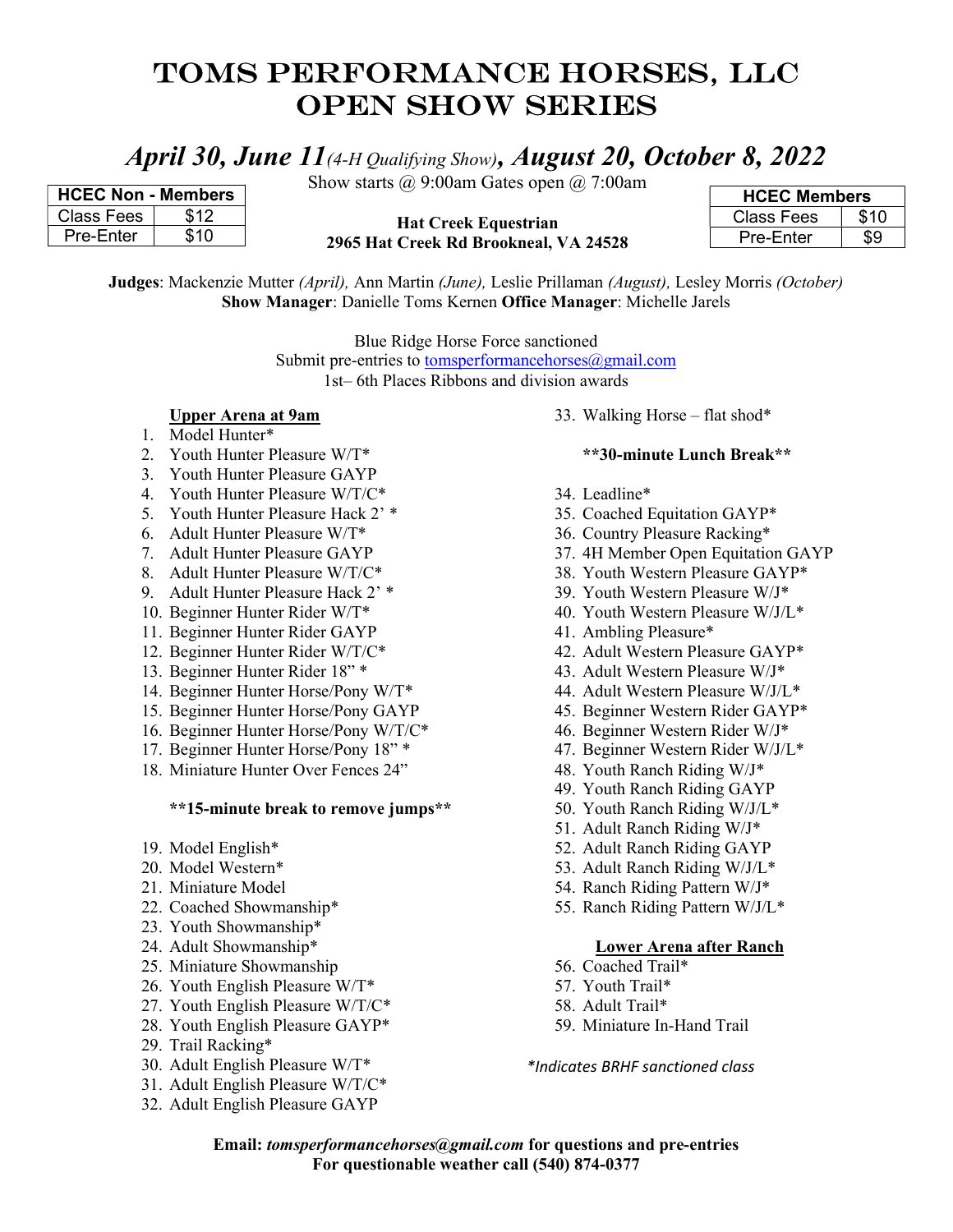# Toms performance horses, llc Open Show Series

# April 30, June  $11$ (4-H Qualifying Show), August 20, October 8, 2022

|  | Show starts $@9:00$ am Gates open $@7:00$ am |
|--|----------------------------------------------|
|--|----------------------------------------------|

| <b>HCEC Non - Members</b> |      |  |
|---------------------------|------|--|
| <b>Class Fees</b>         | \$12 |  |
| <b>Pre-Enter</b>          | \$10 |  |

## Hat Creek Equestrian 2965 Hat Creek Rd Brookneal, VA 24528

| <b>HCEC Members</b> |      |  |
|---------------------|------|--|
| <b>Class Fees</b>   | \$10 |  |
| <b>Pre-Enter</b>    | ¢Ω   |  |

Judges: Mackenzie Mutter (April), Ann Martin (June), Leslie Prillaman (August), Lesley Morris (October) Show Manager: Danielle Toms Kernen Office Manager: Michelle Jarels

Blue Ridge Horse Force sanctioned

Submit pre-entries to tomsperformancehorses@gmail.com 1st– 6th Places Ribbons and division awards

# Upper Arena at 9am

- 1. Model Hunter\*
- 2. Youth Hunter Pleasure W/T\*
- 3. Youth Hunter Pleasure GAYP
- 4. Youth Hunter Pleasure W/T/C\*
- 5. Youth Hunter Pleasure Hack 2' \*
- 6. Adult Hunter Pleasure W/T\*
- 7. Adult Hunter Pleasure GAYP
- 8. Adult Hunter Pleasure W/T/C\*
- 9. Adult Hunter Pleasure Hack 2' \*
- 10. Beginner Hunter Rider W/T\*
- 11. Beginner Hunter Rider GAYP
- 12. Beginner Hunter Rider W/T/C\*
- 13. Beginner Hunter Rider 18" \*
- 14. Beginner Hunter Horse/Pony W/T\*
- 15. Beginner Hunter Horse/Pony GAYP
- 16. Beginner Hunter Horse/Pony W/T/C\*
- 17. Beginner Hunter Horse/Pony 18" \*
- 18. Miniature Hunter Over Fences 24"

#### \*\*15-minute break to remove jumps\*\*

- 19. Model English\*
- 20. Model Western\*
- 21. Miniature Model
- 22. Coached Showmanship\*
- 23. Youth Showmanship\*
- 24. Adult Showmanship\*
- 25. Miniature Showmanship
- 26. Youth English Pleasure W/T\*
- 27. Youth English Pleasure W/T/C\*
- 28. Youth English Pleasure GAYP\*
- 29. Trail Racking\*
- 30. Adult English Pleasure W/T\*
- 31. Adult English Pleasure W/T/C\*
- 32. Adult English Pleasure GAYP

33. Walking Horse – flat shod\*

#### \*\*30-minute Lunch Break\*\*

- 34. Leadline\*
- 35. Coached Equitation GAYP\*
- 36. Country Pleasure Racking\*
- 37. 4H Member Open Equitation GAYP
- 38. Youth Western Pleasure GAYP\*
- 39. Youth Western Pleasure W/J\*
- 40. Youth Western Pleasure W/J/L\*
- 41. Ambling Pleasure\*
- 42. Adult Western Pleasure GAYP\*
- 43. Adult Western Pleasure W/J\*
- 44. Adult Western Pleasure W/J/L\*
- 45. Beginner Western Rider GAYP\*
- 46. Beginner Western Rider W/J\*
- 47. Beginner Western Rider W/J/L\*
- 48. Youth Ranch Riding W/J\*
- 49. Youth Ranch Riding GAYP
- 50. Youth Ranch Riding W/J/L\*
- 51. Adult Ranch Riding W/J\*
- 52. Adult Ranch Riding GAYP
- 53. Adult Ranch Riding W/J/L\*
- 54. Ranch Riding Pattern W/J\*
- 55. Ranch Riding Pattern W/J/L\*

### Lower Arena after Ranch

- 56. Coached Trail\*
- 57. Youth Trail\*
- 58. Adult Trail\*
- 59. Miniature In-Hand Trail

\*Indicates BRHF sanctioned class

Email: tomsperformancehorses@gmail.com for questions and pre-entries For questionable weather call (540) 874-0377